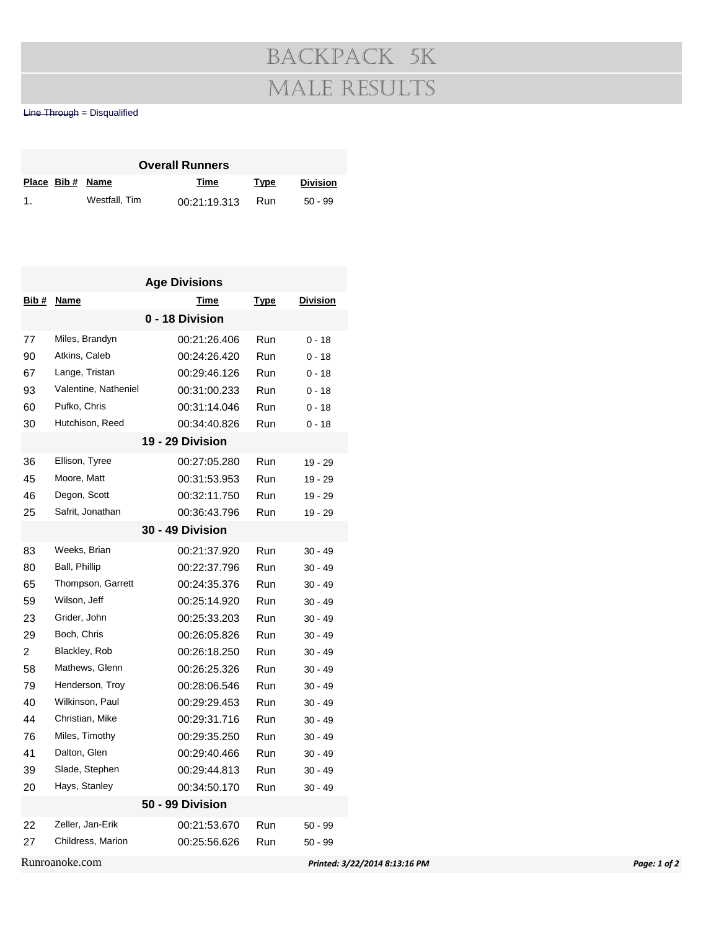## Backpack 5k Male Results

## Line Through = Disqualified

| <b>Overall Runners</b> |  |                 |              |      |                 |  |  |  |
|------------------------|--|-----------------|--------------|------|-----------------|--|--|--|
|                        |  | Place Bib# Name | Time         | Type | <b>Division</b> |  |  |  |
| $\mathbf{1}$           |  | Westfall, Tim   | 00:21:19.313 | Run  | $50 - 99$       |  |  |  |

|                |                      | <b>Age Divisions</b> |             |                               |
|----------------|----------------------|----------------------|-------------|-------------------------------|
| <u>Bib #</u>   | <b>Name</b>          | <b>Time</b>          | <b>Type</b> | <b>Division</b>               |
|                |                      | 0 - 18 Division      |             |                               |
| 77             | Miles, Brandyn       | 00:21:26.406         | Run         | $0 - 18$                      |
| 90             | Atkins, Caleb        | 00:24:26.420         | Run         | $0 - 18$                      |
| 67             | Lange, Tristan       | 00:29:46.126         | Run         | $0 - 18$                      |
| 93             | Valentine, Natheniel | 00:31:00.233         | Run         | $0 - 18$                      |
| 60             | Pufko, Chris         | 00:31:14.046         | Run         | $0 - 18$                      |
| 30             | Hutchison, Reed      | 00:34:40.826         | Run         | $0 - 18$                      |
|                |                      | 19 - 29 Division     |             |                               |
| 36             | Ellison, Tyree       | 00:27:05.280         | Run         | $19 - 29$                     |
| 45             | Moore, Matt          | 00:31:53.953         | Run         | $19 - 29$                     |
| 46             | Degon, Scott         | 00:32:11.750         | Run         | $19 - 29$                     |
| 25             | Safrit, Jonathan     | 00:36:43.796         | Run         | 19 - 29                       |
|                |                      | 30 - 49 Division     |             |                               |
| 83             | Weeks, Brian         | 00:21:37.920         | Run         | $30 - 49$                     |
| 80             | Ball, Phillip        | 00:22:37.796         | Run         | $30 - 49$                     |
| 65             | Thompson, Garrett    | 00:24:35.376         | Run         | $30 - 49$                     |
| 59             | Wilson, Jeff         | 00:25:14.920         | Run         | $30 - 49$                     |
| 23             | Grider, John         | 00:25:33.203         | Run         | $30 - 49$                     |
| 29             | Boch, Chris          | 00:26:05.826         | Run         | $30 - 49$                     |
| $\overline{c}$ | Blackley, Rob        | 00:26:18.250         | Run         | $30 - 49$                     |
| 58             | Mathews, Glenn       | 00:26:25.326         | Run         | $30 - 49$                     |
| 79             | Henderson, Troy      | 00:28:06.546         | Run         | $30 - 49$                     |
| 40             | Wilkinson, Paul      | 00:29:29.453         | Run         | $30 - 49$                     |
| 44             | Christian, Mike      | 00:29:31.716         | Run         | $30 - 49$                     |
| 76             | Miles, Timothy       | 00:29:35.250         | Run         | $30 - 49$                     |
| 41             | Dalton, Glen         | 00:29:40.466         | Run         | $30 - 49$                     |
| 39             | Slade, Stephen       | 00:29:44.813         | Run         | $30 - 49$                     |
| 20             | Hays, Stanley        | 00:34:50.170         | Run         | $30 - 49$                     |
|                |                      | 50 - 99 Division     |             |                               |
| 22             | Zeller, Jan-Erik     | 00:21:53.670         | Run         | $50 - 99$                     |
| 27             | Childress, Marion    | 00:25:56.626         | Run         | $50 - 99$                     |
|                | Runroanoke.com       |                      |             | Printed: 3/22/2014 8:13:16 PM |